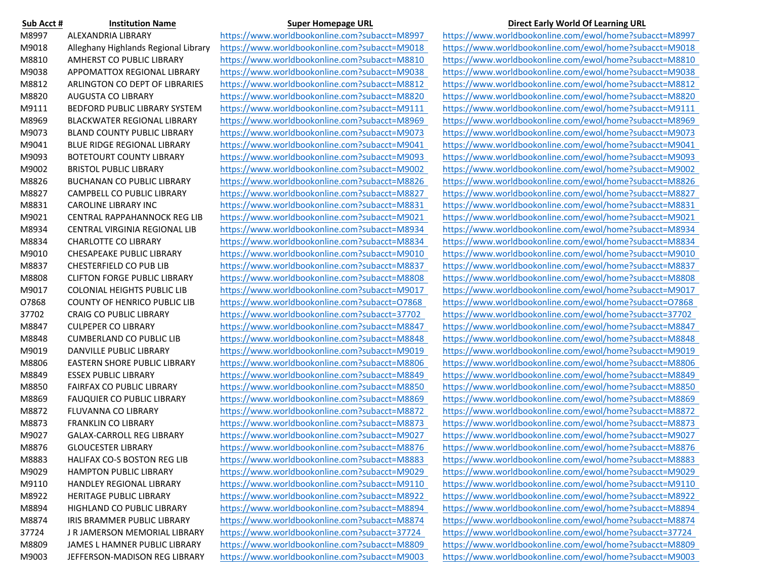| Sub Acct # | <b>Institution Name</b>              |
|------------|--------------------------------------|
| M8997      | <b>ALEXANDRIA LIBRARY</b>            |
| M9018      | Alleghany Highlands Regional Library |
| M8810      | AMHERST CO PUBLIC LIBRARY            |
| M9038      | <b>APPOMATTOX REGIONAL LIBRARY</b>   |
| M8812      | ARLINGTON CO DEPT OF LIBRARIES       |
| M8820      | <b>AUGUSTA CO LIBRARY</b>            |
| M9111      | <b>BEDFORD PUBLIC LIBRARY SYSTEM</b> |
| M8969      | <b>BLACKWATER REGIONAL LIBRARY</b>   |
| M9073      | <b>BLAND COUNTY PUBLIC LIBRARY</b>   |
| M9041      | <b>BLUE RIDGE REGIONAL LIBRARY</b>   |
| M9093      | <b>BOTETOURT COUNTY LIBRARY</b>      |
| M9002      | <b>BRISTOL PUBLIC LIBRARY</b>        |
| M8826      | <b>BUCHANAN CO PUBLIC LIBRARY</b>    |
| M8827      | CAMPBELL CO PUBLIC LIBRARY           |
| M8831      | <b>CAROLINE LIBRARY INC</b>          |
| M9021      | <b>CENTRAL RAPPAHANNOCK REG LIB</b>  |
| M8934      | CENTRAL VIRGINIA REGIONAL LIB        |
| M8834      | <b>CHARLOTTE CO LIBRARY</b>          |
| M9010      | <b>CHESAPEAKE PUBLIC LIBRARY</b>     |
| M8837      | <b>CHESTERFIELD CO PUB LIB</b>       |
| M8808      | <b>CLIFTON FORGE PUBLIC LIBRARY</b>  |
| M9017      | <b>COLONIAL HEIGHTS PUBLIC LIB</b>   |
| 07868      | <b>COUNTY OF HENRICO PUBLIC LIB</b>  |
| 37702      | <b>CRAIG CO PUBLIC LIBRARY</b>       |
| M8847      | <b>CULPEPER CO LIBRARY</b>           |
| M8848      | <b>CUMBERLAND CO PUBLIC LIB</b>      |
| M9019      | DANVILLE PUBLIC LIBRARY              |
| M8806      | <b>EASTERN SHORE PUBLIC LIBRARY</b>  |
| M8849      | <b>ESSEX PUBLIC LIBRARY</b>          |
| M8850      | <b>FAIRFAX CO PUBLIC LIBRARY</b>     |
| M8869      | <b>FAUQUIER CO PUBLIC LIBRARY</b>    |
| M8872      | <b>FLUVANNA CO LIBRARY</b>           |
| M8873      | <b>FRANKLIN CO LIBRARY</b>           |
| M9027      | <b>GALAX-CARROLL REG LIBRARY</b>     |
| M8876      | <b>GLOUCESTER LIBRARY</b>            |
| M8883      | HALIFAX CO-S BOSTON REG LIB          |
| M9029      | <b>HAMPTON PUBLIC LIBRARY</b>        |
| M9110      | <b>HANDLEY REGIONAL LIBRARY</b>      |
| M8922      | <b>HERITAGE PUBLIC LIBRARY</b>       |
| M8894      | HIGHLAND CO PUBLIC LIBRARY           |
| M8874      | IRIS BRAMMER PUBLIC LIBRARY          |
| 37724      | J R JAMERSON MEMORIAL LIBRARY        |
| M8809      | JAMES L HAMNER PUBLIC LIBRARY        |
| M9003      | JEFFERSON-MADISON REG LIBRARY        |

https://www.worldbookonline.com?subacct=M9003 https://www.worldbookonline.com/ewol/home?subacct=M9003

## **Super Homepage URL Institution Institution Direct Early World Of Learning URL**

https://www.worldbookonline.com?subacct=M8997 https://www.worldbookonline.com/ewol/home?subacct=M8997 https://www.worldbookonline.com?subacct=M9018 https://www.worldbookonline.com/ewol/home?subacct=M9018 https://www.worldbookonline.com?subacct=M8810 https://www.worldbookonline.com/ewol/home?subacct=M8810 https://www.worldbookonline.com?subacct=M9038 https://www.worldbookonline.com/ewol/home?subacct=M9038 https://www.worldbookonline.com?subacct=M8812 https://www.worldbookonline.com/ewol/home?subacct=M8812 https://www.worldbookonline.com?subacct=M8820 https://www.worldbookonline.com/ewol/home?subacct=M8820 https://www.worldbookonline.com?subacct=M9111 https://www.worldbookonline.com/ewol/home?subacct=M9111 https://www.worldbookonline.com?subacct=M8969 https://www.worldbookonline.com/ewol/home?subacct=M8969 https://www.worldbookonline.com?subacct=M9073 https://www.worldbookonline.com/ewol/home?subacct=M9073 https://www.worldbookonline.com?subacct=M9041 https://www.worldbookonline.com/ewol/home?subacct=M9041 https://www.worldbookonline.com?subacct=M9093 https://www.worldbookonline.com/ewol/home?subacct=M9093 https://www.worldbookonline.com?subacct=M9002 https://www.worldbookonline.com/ewol/home?subacct=M9002 https://www.worldbookonline.com?subacct=M8826 https://www.worldbookonline.com/ewol/home?subacct=M8826 https://www.worldbookonline.com?subacct=M8827 https://www.worldbookonline.com/ewol/home?subacct=M8827 https://www.worldbookonline.com?subacct=M8831 https://www.worldbookonline.com/ewol/home?subacct=M8831 https://www.worldbookonline.com?subacct=M9021 https://www.worldbookonline.com/ewol/home?subacct=M9021 https://www.worldbookonline.com?subacct=M8934 https://www.worldbookonline.com/ewol/home?subacct=M8934 https://www.worldbookonline.com?subacct=M8834 https://www.worldbookonline.com/ewol/home?subacct=M8834 https://www.worldbookonline.com?subacct=M9010 https://www.worldbookonline.com/ewol/home?subacct=M9010 https://www.worldbookonline.com?subacct=M8837 https://www.worldbookonline.com/ewol/home?subacct=M8837 https://www.worldbookonline.com?subacct=M8808 https://www.worldbookonline.com/ewol/home?subacct=M8808 https://www.worldbookonline.com?subacct=M9017 https://www.worldbookonline.com/ewol/home?subacct=M9017 https://www.worldbookonline.com?subacct=O7868 https://www.worldbookonline.com/ewol/home?subacct=O7868 https://www.worldbookonline.com?subacct=37702 https://www.worldbookonline.com/ewol/home?subacct=37702 https://www.worldbookonline.com?subacct=M8847 https://www.worldbookonline.com/ewol/home?subacct=M8847 https://www.worldbookonline.com?subacct=M8848 https://www.worldbookonline.com/ewol/home?subacct=M8848 https://www.worldbookonline.com?subacct=M9019 https://www.worldbookonline.com/ewol/home?subacct=M9019 https://www.worldbookonline.com?subacct=M8806 https://www.worldbookonline.com/ewol/home?subacct=M8806 https://www.worldbookonline.com?subacct=M8849 https://www.worldbookonline.com/ewol/home?subacct=M8849 https://www.worldbookonline.com?subacct=M8850 https://www.worldbookonline.com/ewol/home?subacct=M8850 https://www.worldbookonline.com?subacct=M8869 https://www.worldbookonline.com/ewol/home?subacct=M8869 https://www.worldbookonline.com?subacct=M8872 https://www.worldbookonline.com/ewol/home?subacct=M8872 https://www.worldbookonline.com?subacct=M8873 https://www.worldbookonline.com/ewol/home?subacct=M8873 https://www.worldbookonline.com?subacct=M9027 https://www.worldbookonline.com/ewol/home?subacct=M9027 https://www.worldbookonline.com?subacct=M8876 https://www.worldbookonline.com/ewol/home?subacct=M8876 https://www.worldbookonline.com?subacct=M8883 https://www.worldbookonline.com/ewol/home?subacct=M8883 https://www.worldbookonline.com?subacct=M9029 https://www.worldbookonline.com/ewol/home?subacct=M9029 https://www.worldbookonline.com?subacct=M9110 https://www.worldbookonline.com/ewol/home?subacct=M9110 https://www.worldbookonline.com?subacct=M8922 https://www.worldbookonline.com/ewol/home?subacct=M8922 https://www.worldbookonline.com?subacct=M8894 https://www.worldbookonline.com/ewol/home?subacct=M8894 https://www.worldbookonline.com?subacct=M8874 https://www.worldbookonline.com/ewol/home?subacct=M8874 https://www.worldbookonline.com?subacct=37724 https://www.worldbookonline.com/ewol/home?subacct=37724 https://www.worldbookonline.com?subacct=M8809 https://www.worldbookonline.com/ewol/home?subacct=M8809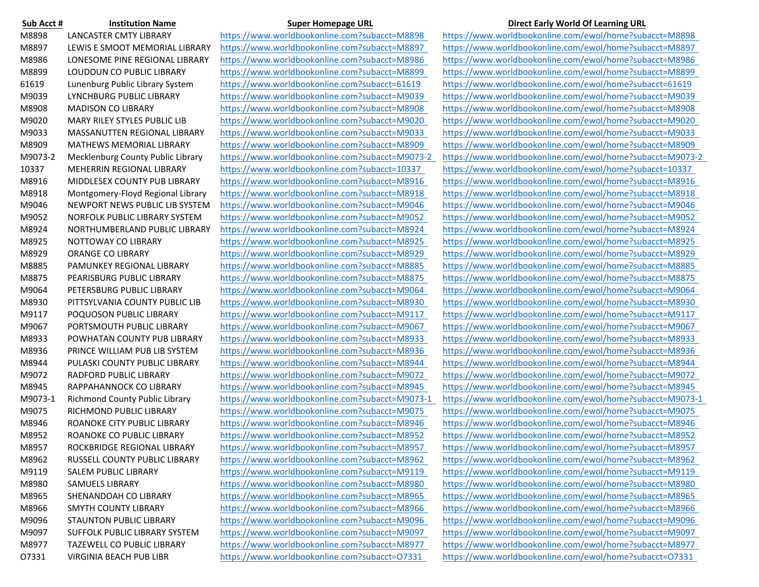| Sub Acct # | <b>Institution Name</b>              |
|------------|--------------------------------------|
| M8898      | <b>LANCASTER CMTY LIBRARY</b>        |
| M8897      | LEWIS E SMOOT MEMORIAL LIBRARY       |
| M8986      | LONESOME PINE REGIONAL LIBRARY       |
| M8899      | LOUDOUN CO PUBLIC LIBRARY            |
| 61619      | Lunenburg Public Library System      |
| M9039      | LYNCHBURG PUBLIC LIBRARY             |
| M8908      | <b>MADISON CO LIBRARY</b>            |
| M9020      | MARY RILEY STYLES PUBLIC LIB         |
| M9033      | MASSANUTTEN REGIONAL LIBRARY         |
| M8909      | MATHEWS MEMORIAL LIBRARY             |
| M9073-2    | Mecklenburg County Public Library    |
| 10337      | <b>MEHERRIN REGIONAL LIBRARY</b>     |
| M8916      | <b>MIDDLESEX COUNTY PUB LIBRARY</b>  |
| M8918      | Montgomery-Floyd Regional Library    |
| M9046      | NEWPORT NEWS PUBLIC LIB SYSTEM       |
| M9052      | <b>NORFOLK PUBLIC LIBRARY SYSTEM</b> |
| M8924      | NORTHUMBERLAND PUBLIC LIBRARY        |
| M8925      | <b>NOTTOWAY CO LIBRARY</b>           |
| M8929      | <b>ORANGE CO LIBRARY</b>             |
| M8885      | PAMUNKEY REGIONAL LIBRARY            |
| M8875      | PEARISBURG PUBLIC LIBRARY            |
| M9064      | PETERSBURG PUBLIC LIBRARY            |
| M8930      | PITTSYLVANIA COUNTY PUBLIC LIB       |
| M9117      | POQUOSON PUBLIC LIBRARY              |
| M9067      | PORTSMOUTH PUBLIC LIBRARY            |
| M8933      | POWHATAN COUNTY PUB LIBRARY          |
| M8936      | PRINCE WILLIAM PUB LIB SYSTEM        |
| M8944      | PULASKI COUNTY PUBLIC LIBRARY        |
| M9072      | <b>RADFORD PUBLIC LIBRARY</b>        |
| M8945      | RAPPAHANNOCK CO LIBRARY              |
| M9073-1    | Richmond County Public Library       |
| M9075      | RICHMOND PUBLIC LIBRARY              |
| M8946      | ROANOKE CITY PUBLIC LIBRARY          |
| M8952      | ROANOKE CO PUBLIC LIBRARY            |
| M8957      | ROCKBRIDGE REGIONAL LIBRARY          |
| M8962      | RUSSELL COUNTY PUBLIC LIBRARY        |
| M9119      | SALEM PUBLIC LIBRARY                 |
| M8980      | <b>SAMUELS LIBRARY</b>               |
| M8965      | SHENANDOAH CO LIBRARY                |
| M8966      | <b>SMYTH COUNTY LIBRARY</b>          |
| M9096      | STAUNTON PUBLIC LIBRARY              |
| M9097      | SUFFOLK PUBLIC LIBRARY SYSTEM        |
| M8977      | TAZEWELL CO PUBLIC LIBRARY           |
| 07331      | VIRGINIA BEACH PUB LIBR              |

https://www.worldbookonline.com?subacct=M8898 https://www.worldbookonline.com/ewol/home?subacct=M8898 https://www.worldbookonline.com?subacct=O7331 https://www.worldbookonline.com/ewol/home?subacct=O7331

## **Super Homepage URL Institution Institution Direct Early World Of Learning URL**

https://www.worldbookonline.com?subacct=M8897 https://www.worldbookonline.com/ewol/home?subacct=M8897 https://www.worldbookonline.com?subacct=M8986 https://www.worldbookonline.com/ewol/home?subacct=M8986 https://www.worldbookonline.com?subacct=M8899 https://www.worldbookonline.com/ewol/home?subacct=M8899 https://www.worldbookonline.com?subacct=61619 https://www.worldbookonline.com/ewol/home?subacct=61619 https://www.worldbookonline.com?subacct=M9039 https://www.worldbookonline.com/ewol/home?subacct=M9039 https://www.worldbookonline.com?subacct=M8908 https://www.worldbookonline.com/ewol/home?subacct=M8908 https://www.worldbookonline.com?subacct=M9020 https://www.worldbookonline.com/ewol/home?subacct=M9020 https://www.worldbookonline.com?subacct=M9033 https://www.worldbookonline.com/ewol/home?subacct=M9033 https://www.worldbookonline.com?subacct=M8909 https://www.worldbookonline.com/ewol/home?subacct=M8909 https://www.worldbookonline.com?subacct=M9073-2 https://www.worldbookonline.com/ewol/home?subacct=M9073-2 https://www.worldbookonline.com?subacct=10337 https://www.worldbookonline.com/ewol/home?subacct=10337 https://www.worldbookonline.com?subacct=M8916 https://www.worldbookonline.com/ewol/home?subacct=M8916 https://www.worldbookonline.com?subacct=M8918 https://www.worldbookonline.com/ewol/home?subacct=M8918 https://www.worldbookonline.com?subacct=M9046 https://www.worldbookonline.com/ewol/home?subacct=M9046 https://www.worldbookonline.com?subacct=M9052 https://www.worldbookonline.com/ewol/home?subacct=M9052 https://www.worldbookonline.com?subacct=M8924 https://www.worldbookonline.com/ewol/home?subacct=M8924 https://www.worldbookonline.com?subacct=M8925 https://www.worldbookonline.com/ewol/home?subacct=M8925 https://www.worldbookonline.com?subacct=M8929 https://www.worldbookonline.com/ewol/home?subacct=M8929 https://www.worldbookonline.com?subacct=M8885 https://www.worldbookonline.com/ewol/home?subacct=M8885 https://www.worldbookonline.com?subacct=M8875 https://www.worldbookonline.com/ewol/home?subacct=M8875 https://www.worldbookonline.com?subacct=M9064 https://www.worldbookonline.com/ewol/home?subacct=M9064 https://www.worldbookonline.com?subacct=M8930 https://www.worldbookonline.com/ewol/home?subacct=M8930 https://www.worldbookonline.com?subacct=M9117 https://www.worldbookonline.com/ewol/home?subacct=M9117 https://www.worldbookonline.com?subacct=M9067 https://www.worldbookonline.com/ewol/home?subacct=M9067 https://www.worldbookonline.com?subacct=M8933 https://www.worldbookonline.com/ewol/home?subacct=M8933 https://www.worldbookonline.com?subacct=M8936 https://www.worldbookonline.com/ewol/home?subacct=M8936 https://www.worldbookonline.com?subacct=M8944 https://www.worldbookonline.com/ewol/home?subacct=M8944 https://www.worldbookonline.com?subacct=M9072 https://www.worldbookonline.com/ewol/home?subacct=M9072 https://www.worldbookonline.com?subacct=M8945 https://www.worldbookonline.com/ewol/home?subacct=M8945 https://www.worldbookonline.com?subacct=M9073-1 https://www.worldbookonline.com/ewol/home?subacct=M9073-1 https://www.worldbookonline.com?subacct=M9075 https://www.worldbookonline.com/ewol/home?subacct=M9075 https://www.worldbookonline.com?subacct=M8946 https://www.worldbookonline.com/ewol/home?subacct=M8946 https://www.worldbookonline.com?subacct=M8952 https://www.worldbookonline.com/ewol/home?subacct=M8952 https://www.worldbookonline.com?subacct=M8957 https://www.worldbookonline.com/ewol/home?subacct=M8957 https://www.worldbookonline.com?subacct=M8962 https://www.worldbookonline.com/ewol/home?subacct=M8962 https://www.worldbookonline.com?subacct=M9119 https://www.worldbookonline.com/ewol/home?subacct=M9119 https://www.worldbookonline.com?subacct=M8980 https://www.worldbookonline.com/ewol/home?subacct=M8980 https://www.worldbookonline.com?subacct=M8965 https://www.worldbookonline.com/ewol/home?subacct=M8965 https://www.worldbookonline.com?subacct=M8966 https://www.worldbookonline.com/ewol/home?subacct=M8966 https://www.worldbookonline.com?subacct=M9096 https://www.worldbookonline.com/ewol/home?subacct=M9096 https://www.worldbookonline.com?subacct=M9097 https://www.worldbookonline.com/ewol/home?subacct=M9097 https://www.worldbookonline.com?subacct=M8977 https://www.worldbookonline.com/ewol/home?subacct=M8977